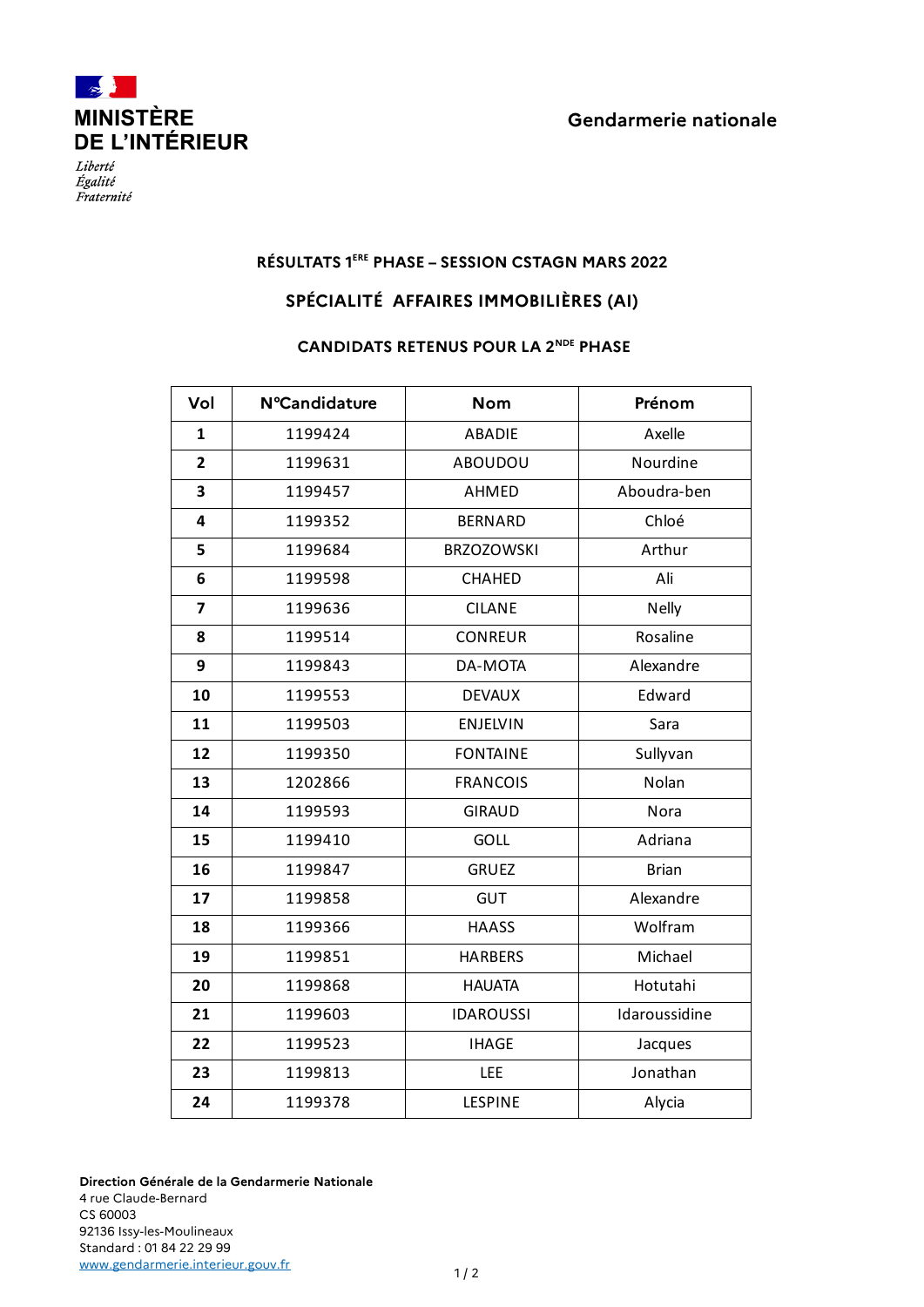



Liberté Égalité Fraternité

## **RÉSULTATS 1ERE PHASE – SESSION CSTAGN MARS 2022**

## **SPÉCIALITÉ AFFAIRES IMMOBILIÈRES (AI)**

## **CANDIDATS RETENUS POUR LA 2NDE PHASE**

| Vol            | <b>N°Candidature</b> | <b>Nom</b>        | Prénom        |
|----------------|----------------------|-------------------|---------------|
| $\mathbf{1}$   | 1199424              | <b>ABADIE</b>     | Axelle        |
| $\overline{2}$ | 1199631              | ABOUDOU           | Nourdine      |
| 3              | 1199457              | AHMED             | Aboudra-ben   |
| 4              | 1199352              | <b>BERNARD</b>    | Chloé         |
| 5              | 1199684              | <b>BRZOZOWSKI</b> | Arthur        |
| 6              | 1199598              | CHAHED            | Ali           |
| 7              | 1199636              | <b>CILANE</b>     | <b>Nelly</b>  |
| 8              | 1199514              | <b>CONREUR</b>    | Rosaline      |
| 9              | 1199843              | DA-MOTA           | Alexandre     |
| 10             | 1199553              | <b>DEVAUX</b>     | Edward        |
| 11             | 1199503              | <b>ENJELVIN</b>   | Sara          |
| 12             | 1199350              | <b>FONTAINE</b>   | Sullyvan      |
| 13             | 1202866              | <b>FRANCOIS</b>   | Nolan         |
| 14             | 1199593              | <b>GIRAUD</b>     | Nora          |
| 15             | 1199410              | GOLL              | Adriana       |
| 16             | 1199847              | <b>GRUEZ</b>      | <b>Brian</b>  |
| 17             | 1199858              | <b>GUT</b>        | Alexandre     |
| 18             | 1199366              | <b>HAASS</b>      | Wolfram       |
| 19             | 1199851              | <b>HARBERS</b>    | Michael       |
| 20             | 1199868              | <b>HAUATA</b>     | Hotutahi      |
| 21             | 1199603              | <b>IDAROUSSI</b>  | Idaroussidine |
| 22             | 1199523              | <b>IHAGE</b>      | Jacques       |
| 23             | 1199813              | <b>LEE</b>        | Jonathan      |
| 24             | 1199378              | LESPINE           | Alycia        |

**Direction Générale de la Gendarmerie Nationale** 4 rue Claude-Bernard CS 60003 92136 Issy-les-Moulineaux Standard : 01 84 22 29 99 [www.gendarmerie.interieur.gouv.fr](http://www.gendarmerie.interieur.gouv.fr/)